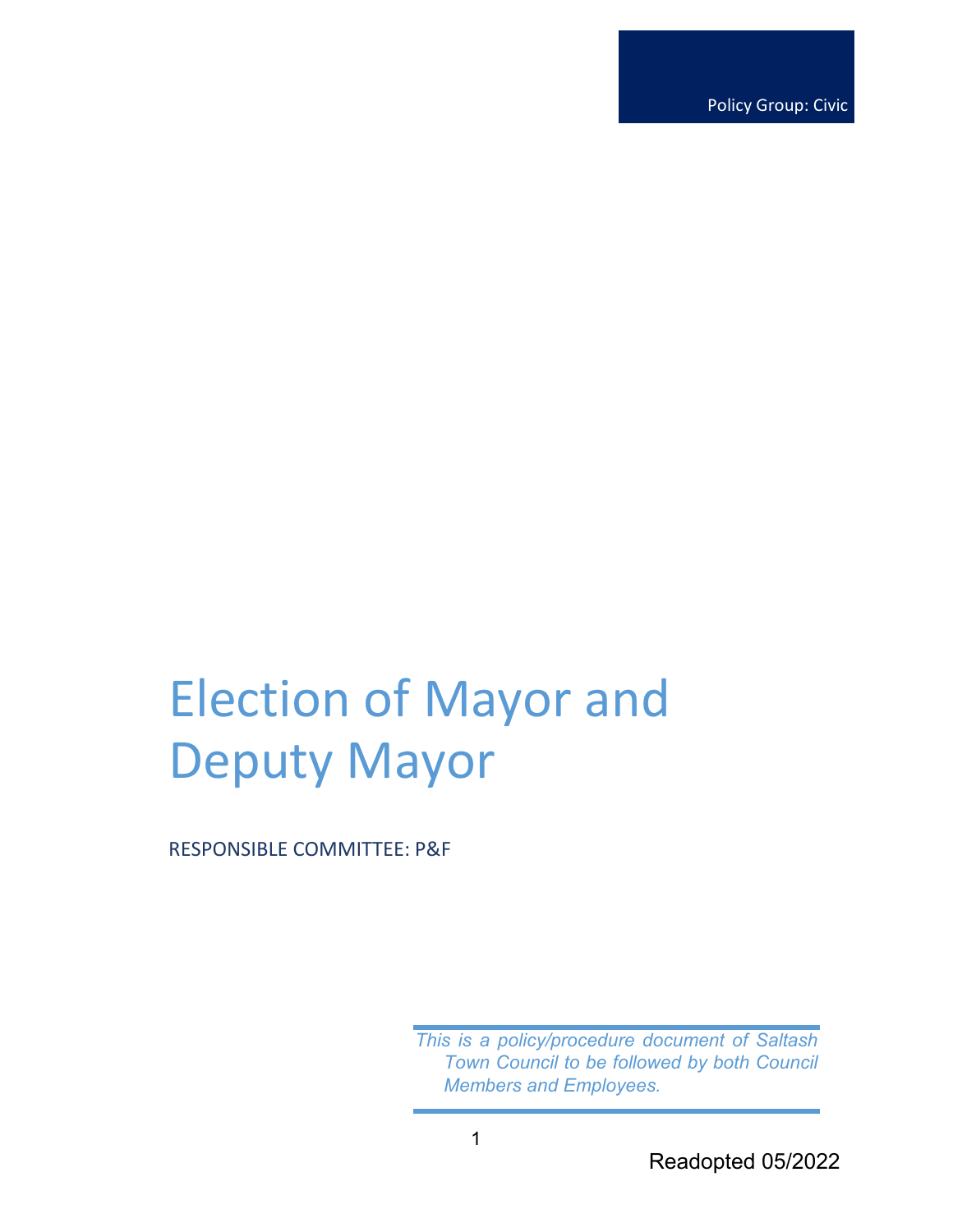Policy Group: Civic

# Election of Mayor and Deputy Mayor

RESPONSIBLE COMMITTEE: P&F

*This is a policy/procedure document of Saltash Town Council to be followed by both Council Members and Employees.*

Readopted 05/2022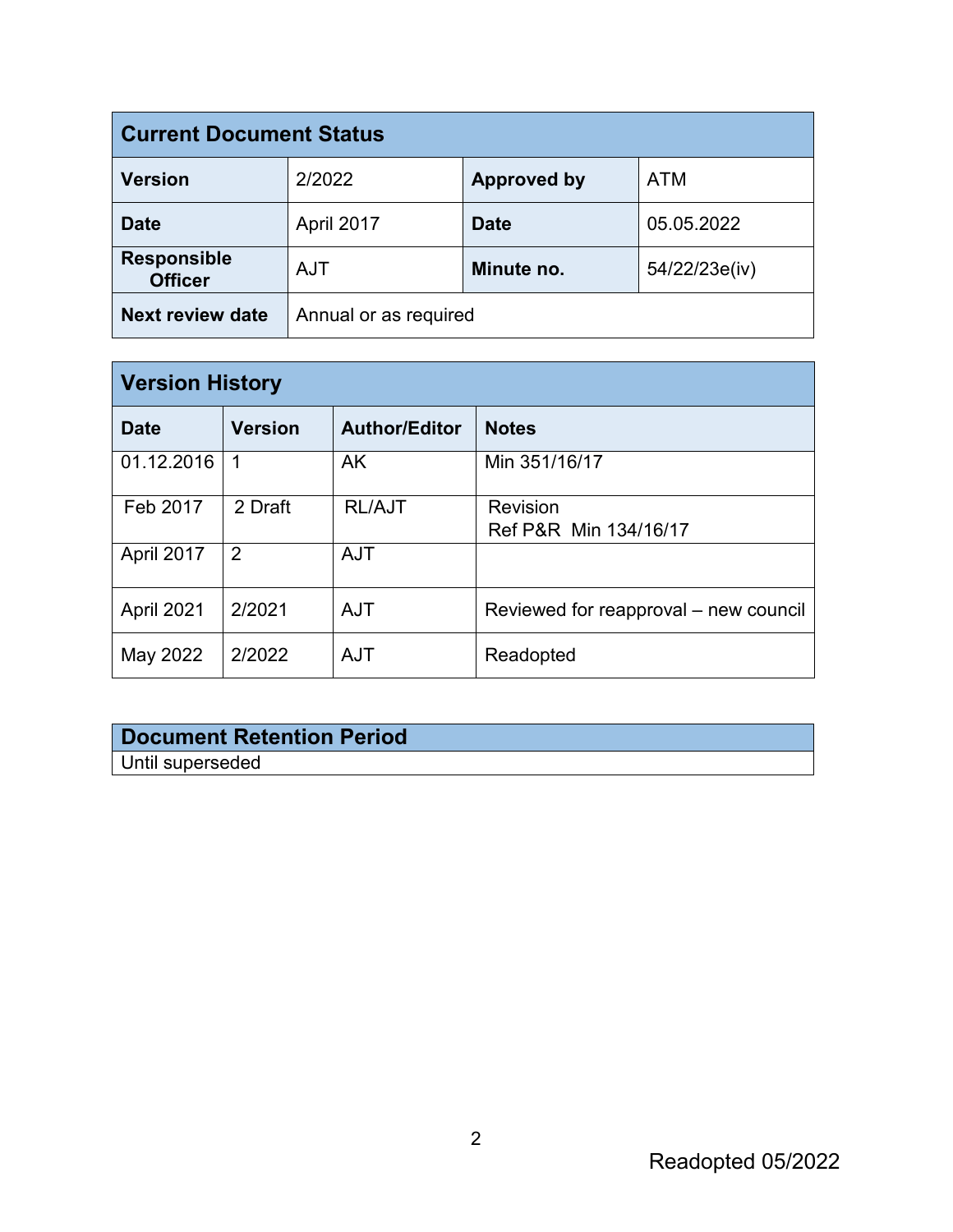| <b>Current Document Status</b>       |                       |                    |               |  |
|--------------------------------------|-----------------------|--------------------|---------------|--|
| <b>Version</b>                       | 2/2022                | <b>Approved by</b> | <b>ATM</b>    |  |
| <b>Date</b>                          | April 2017            | <b>Date</b>        | 05.05.2022    |  |
| <b>Responsible</b><br><b>Officer</b> | <b>AJT</b>            | Minute no.         | 54/22/23e(iv) |  |
| <b>Next review date</b>              | Annual or as required |                    |               |  |

| <b>Version History</b> |                |                      |                                       |  |
|------------------------|----------------|----------------------|---------------------------------------|--|
| <b>Date</b>            | <b>Version</b> | <b>Author/Editor</b> | <b>Notes</b>                          |  |
| 01.12.2016             | 1              | AK                   | Min 351/16/17                         |  |
| Feb 2017               | 2 Draft        | <b>RL/AJT</b>        | Revision<br>Ref P&R Min 134/16/17     |  |
| April 2017             | 2              | <b>AJT</b>           |                                       |  |
| April 2021             | 2/2021         | <b>AJT</b>           | Reviewed for reapproval – new council |  |
| May 2022               | 2/2022         | <b>AJT</b>           | Readopted                             |  |

## **Document Retention Period**

Until superseded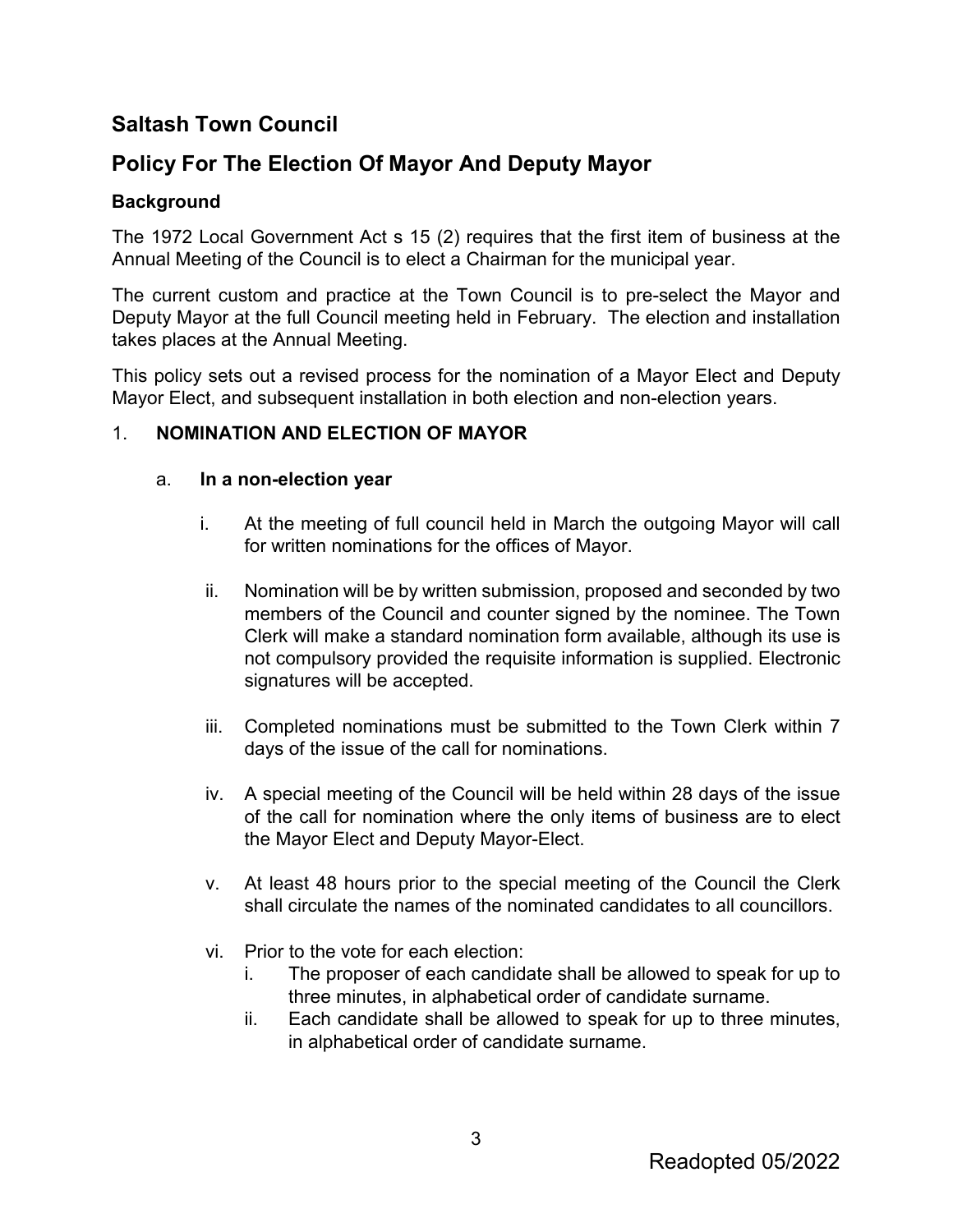## **Saltash Town Council**

## **Policy For The Election Of Mayor And Deputy Mayor**

#### **Background**

The 1972 Local Government Act s 15 (2) requires that the first item of business at the Annual Meeting of the Council is to elect a Chairman for the municipal year.

The current custom and practice at the Town Council is to pre-select the Mayor and Deputy Mayor at the full Council meeting held in February. The election and installation takes places at the Annual Meeting.

This policy sets out a revised process for the nomination of a Mayor Elect and Deputy Mayor Elect, and subsequent installation in both election and non-election years.

#### 1. **NOMINATION AND ELECTION OF MAYOR**

#### a. **In a non-election year**

- i. At the meeting of full council held in March the outgoing Mayor will call for written nominations for the offices of Mayor.
- ii. Nomination will be by written submission, proposed and seconded by two members of the Council and counter signed by the nominee. The Town Clerk will make a standard nomination form available, although its use is not compulsory provided the requisite information is supplied. Electronic signatures will be accepted.
- iii. Completed nominations must be submitted to the Town Clerk within 7 days of the issue of the call for nominations.
- iv. A special meeting of the Council will be held within 28 days of the issue of the call for nomination where the only items of business are to elect the Mayor Elect and Deputy Mayor-Elect.
- v. At least 48 hours prior to the special meeting of the Council the Clerk shall circulate the names of the nominated candidates to all councillors.
- vi. Prior to the vote for each election:
	- i. The proposer of each candidate shall be allowed to speak for up to three minutes, in alphabetical order of candidate surname.
	- ii. Each candidate shall be allowed to speak for up to three minutes, in alphabetical order of candidate surname.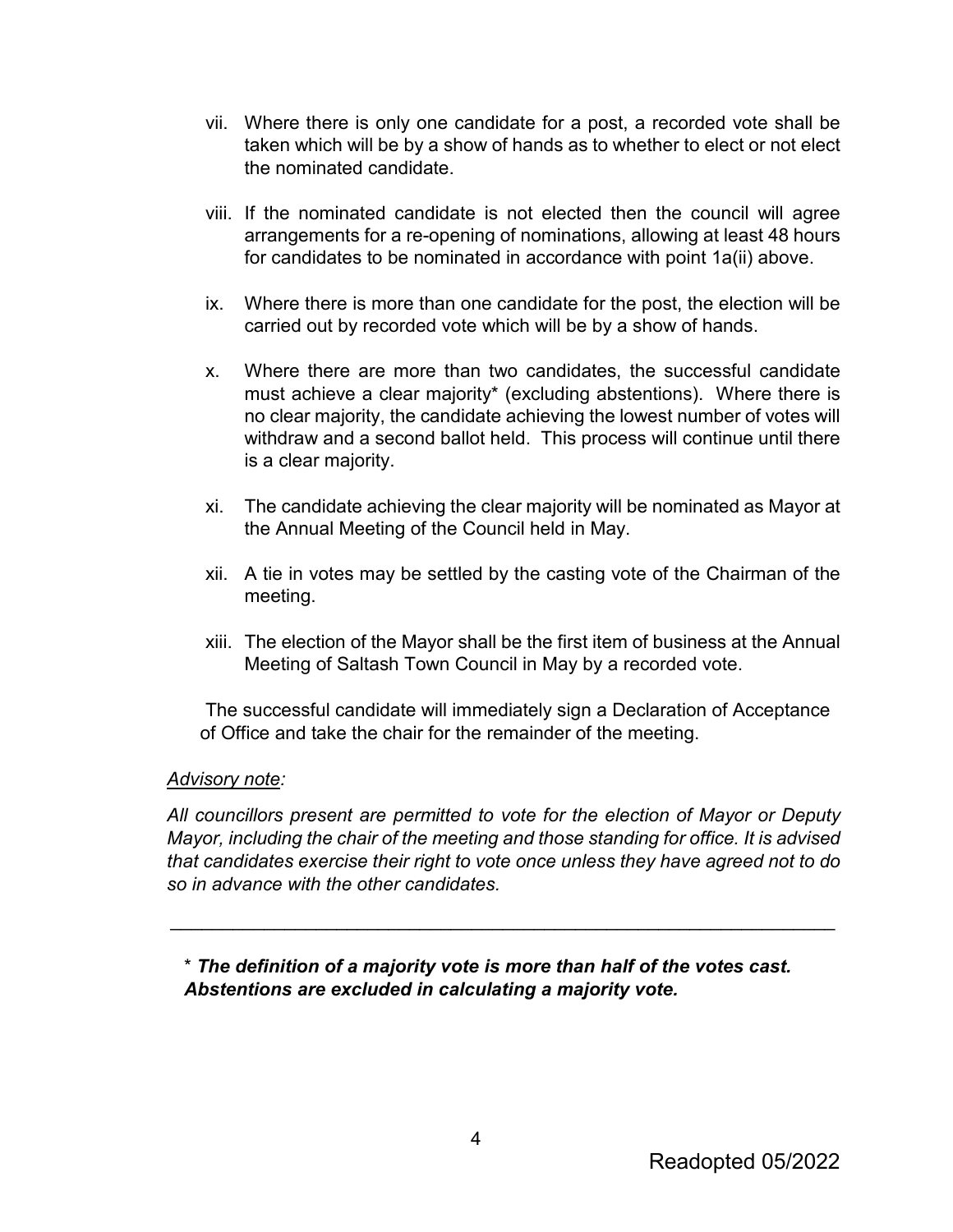- vii. Where there is only one candidate for a post, a recorded vote shall be taken which will be by a show of hands as to whether to elect or not elect the nominated candidate.
- viii. If the nominated candidate is not elected then the council will agree arrangements for a re-opening of nominations, allowing at least 48 hours for candidates to be nominated in accordance with point 1a(ii) above.
- ix. Where there is more than one candidate for the post, the election will be carried out by recorded vote which will be by a show of hands.
- x. Where there are more than two candidates, the successful candidate must achieve a clear majority\* (excluding abstentions). Where there is no clear majority, the candidate achieving the lowest number of votes will withdraw and a second ballot held. This process will continue until there is a clear majority.
- xi. The candidate achieving the clear majority will be nominated as Mayor at the Annual Meeting of the Council held in May.
- xii. A tie in votes may be settled by the casting vote of the Chairman of the meeting.
- xiii. The election of the Mayor shall be the first item of business at the Annual Meeting of Saltash Town Council in May by a recorded vote.

The successful candidate will immediately sign a Declaration of Acceptance of Office and take the chair for the remainder of the meeting.

#### *Advisory note:*

*All councillors present are permitted to vote for the election of Mayor or Deputy Mayor, including the chair of the meeting and those standing for office. It is advised that candidates exercise their right to vote once unless they have agreed not to do so in advance with the other candidates.* 

\_\_\_\_\_\_\_\_\_\_\_\_\_\_\_\_\_\_\_\_\_\_\_\_\_\_\_\_\_\_\_\_\_\_\_\_\_\_\_\_\_\_\_\_\_\_\_\_\_\_\_\_\_\_\_\_\_\_\_\_\_\_\_\_

\* *The definition of a majority vote is more than half of the votes cast. Abstentions are excluded in calculating a majority vote.*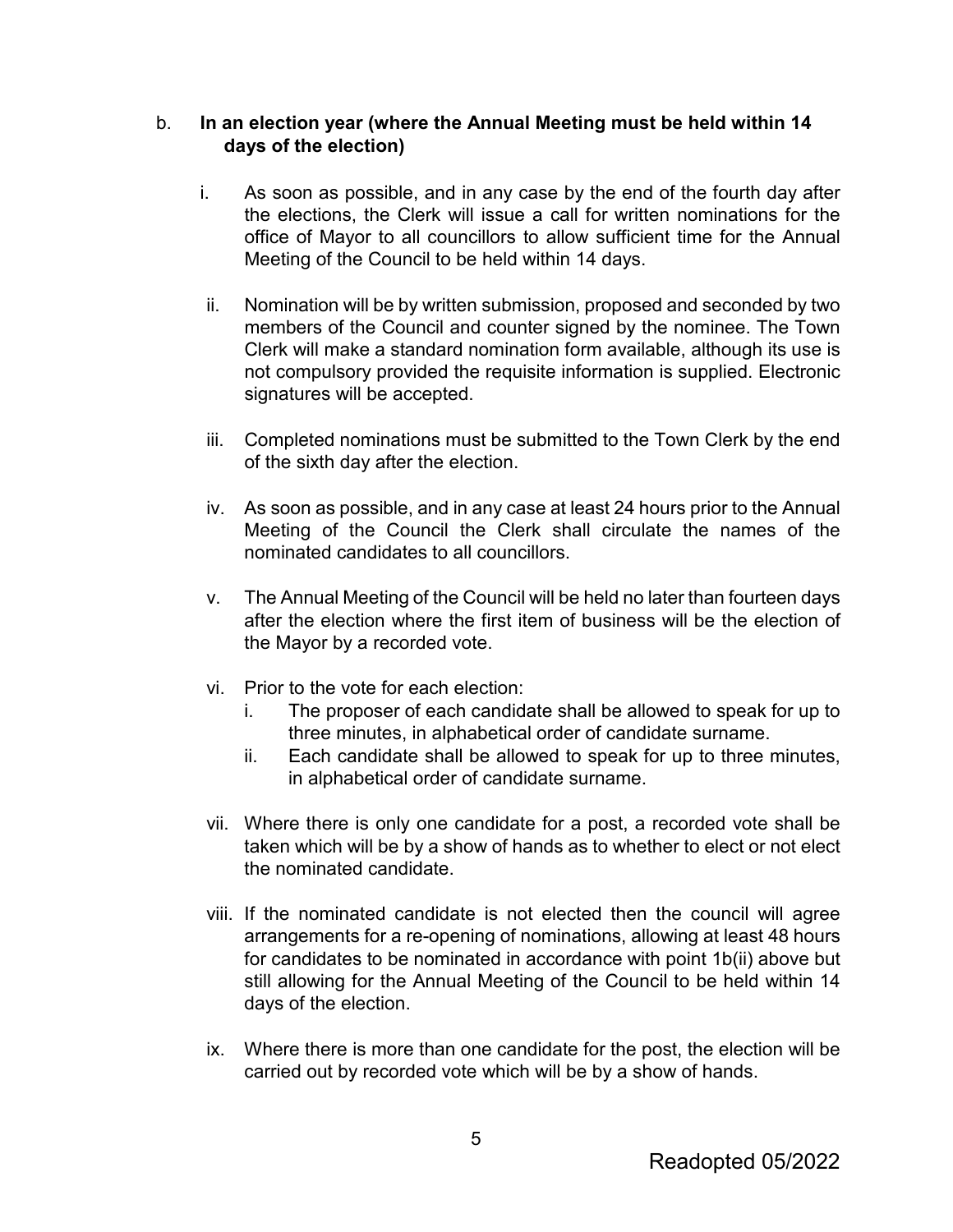#### b. **In an election year (where the Annual Meeting must be held within 14 days of the election)**

- i. As soon as possible, and in any case by the end of the fourth day after the elections, the Clerk will issue a call for written nominations for the office of Mayor to all councillors to allow sufficient time for the Annual Meeting of the Council to be held within 14 days.
- ii. Nomination will be by written submission, proposed and seconded by two members of the Council and counter signed by the nominee. The Town Clerk will make a standard nomination form available, although its use is not compulsory provided the requisite information is supplied. Electronic signatures will be accepted.
- iii. Completed nominations must be submitted to the Town Clerk by the end of the sixth day after the election.
- iv. As soon as possible, and in any case at least 24 hours prior to the Annual Meeting of the Council the Clerk shall circulate the names of the nominated candidates to all councillors.
- v. The Annual Meeting of the Council will be held no later than fourteen days after the election where the first item of business will be the election of the Mayor by a recorded vote.
- vi. Prior to the vote for each election:
	- i. The proposer of each candidate shall be allowed to speak for up to three minutes, in alphabetical order of candidate surname.
	- ii. Each candidate shall be allowed to speak for up to three minutes, in alphabetical order of candidate surname.
- vii. Where there is only one candidate for a post, a recorded vote shall be taken which will be by a show of hands as to whether to elect or not elect the nominated candidate.
- viii. If the nominated candidate is not elected then the council will agree arrangements for a re-opening of nominations, allowing at least 48 hours for candidates to be nominated in accordance with point 1b(ii) above but still allowing for the Annual Meeting of the Council to be held within 14 days of the election.
- ix. Where there is more than one candidate for the post, the election will be carried out by recorded vote which will be by a show of hands.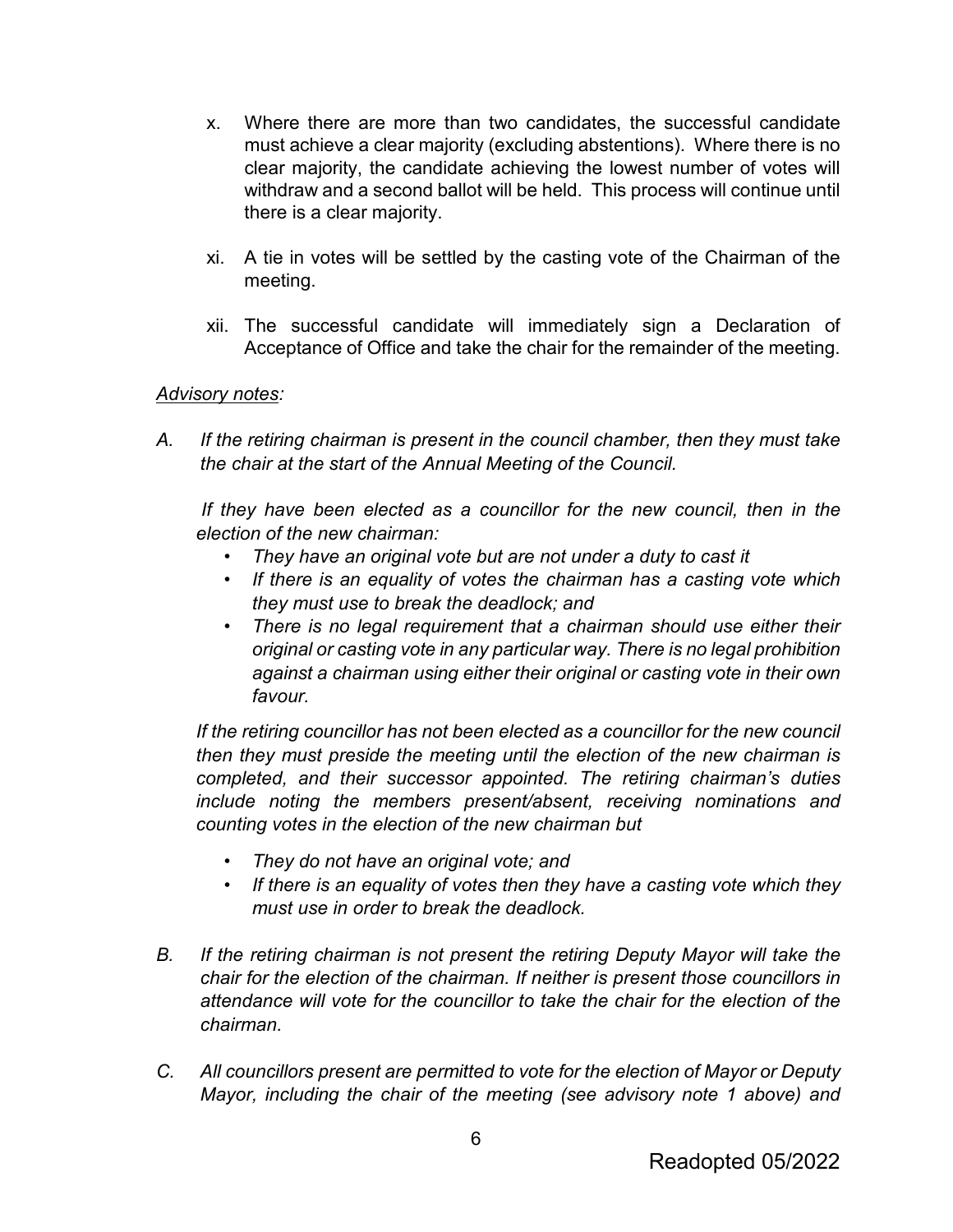- x. Where there are more than two candidates, the successful candidate must achieve a clear majority (excluding abstentions). Where there is no clear majority, the candidate achieving the lowest number of votes will withdraw and a second ballot will be held. This process will continue until there is a clear majority.
- xi. A tie in votes will be settled by the casting vote of the Chairman of the meeting.
- xii. The successful candidate will immediately sign a Declaration of Acceptance of Office and take the chair for the remainder of the meeting.

#### *Advisory notes:*

*A. If the retiring chairman is present in the council chamber, then they must take the chair at the start of the Annual Meeting of the Council.* 

*If they have been elected as a councillor for the new council, then in the election of the new chairman:* 

- *They have an original vote but are not under a duty to cast it*
- *If there is an equality of votes the chairman has a casting vote which they must use to break the deadlock; and*
- *There is no legal requirement that a chairman should use either their original or casting vote in any particular way. There is no legal prohibition against a chairman using either their original or casting vote in their own favour.*

*If the retiring councillor has not been elected as a councillor for the new council then they must preside the meeting until the election of the new chairman is completed, and their successor appointed. The retiring chairman's duties include noting the members present/absent, receiving nominations and counting votes in the election of the new chairman but* 

- *They do not have an original vote; and*
- *If there is an equality of votes then they have a casting vote which they must use in order to break the deadlock.*
- *B. If the retiring chairman is not present the retiring Deputy Mayor will take the chair for the election of the chairman. If neither is present those councillors in attendance will vote for the councillor to take the chair for the election of the chairman.*
- *C. All councillors present are permitted to vote for the election of Mayor or Deputy Mayor, including the chair of the meeting (see advisory note 1 above) and*